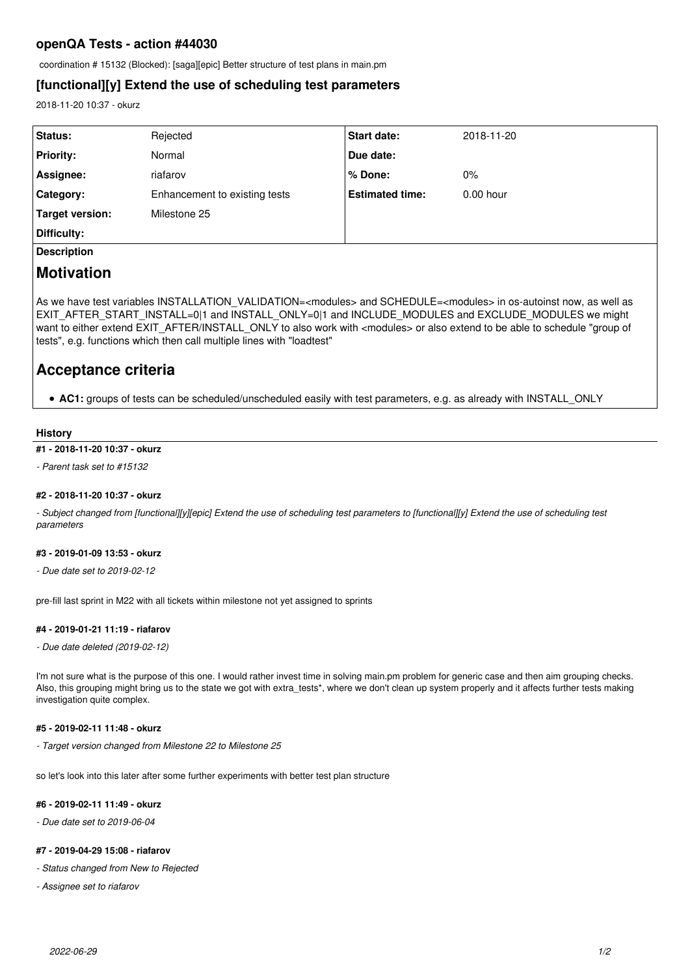# **openQA Tests - action #44030**

coordination # 15132 (Blocked): [saga][epic] Better structure of test plans in main.pm

## **[functional][y] Extend the use of scheduling test parameters**

2018-11-20 10:37 - okurz

| <b>Status:</b>                                                                                                                                                                                                                 | Rejected                      | <b>Start date:</b>     | 2018-11-20  |
|--------------------------------------------------------------------------------------------------------------------------------------------------------------------------------------------------------------------------------|-------------------------------|------------------------|-------------|
| <b>Priority:</b>                                                                                                                                                                                                               | Normal                        | Due date:              |             |
| Assignee:                                                                                                                                                                                                                      | riafarov                      | % Done:                | $0\%$       |
| Category:                                                                                                                                                                                                                      | Enhancement to existing tests | <b>Estimated time:</b> | $0.00$ hour |
| Target version:                                                                                                                                                                                                                | Milestone 25                  |                        |             |
| Difficulty:                                                                                                                                                                                                                    |                               |                        |             |
| in the contract of the contract of the contract of the contract of the contract of the contract of the contract of the contract of the contract of the contract of the contract of the contract of the contract of the contrac |                               |                        |             |

**Description**

# **Motivation**

As we have test variables INSTALLATION VALIDATION=<modules> and SCHEDULE=<modules> in os-autoinst now, as well as EXIT\_AFTER\_START\_INSTALL=0|1 and INSTALL\_ONLY=0|1 and INCLUDE\_MODULES and EXCLUDE\_MODULES we might want to either extend EXIT\_AFTER/INSTALL\_ONLY to also work with <modules> or also extend to be able to schedule "group of tests", e.g. functions which then call multiple lines with "loadtest"

# **Acceptance criteria**

**AC1:** groups of tests can be scheduled/unscheduled easily with test parameters, e.g. as already with INSTALL\_ONLY

### **History**

## **#1 - 2018-11-20 10:37 - okurz**

*- Parent task set to #15132*

### **#2 - 2018-11-20 10:37 - okurz**

*- Subject changed from [functional][y][epic] Extend the use of scheduling test parameters to [functional][y] Extend the use of scheduling test parameters*

#### **#3 - 2019-01-09 13:53 - okurz**

*- Due date set to 2019-02-12*

pre-fill last sprint in M22 with all tickets within milestone not yet assigned to sprints

## **#4 - 2019-01-21 11:19 - riafarov**

*- Due date deleted (2019-02-12)*

I'm not sure what is the purpose of this one. I would rather invest time in solving main.pm problem for generic case and then aim grouping checks. Also, this grouping might bring us to the state we got with extra\_tests\*, where we don't clean up system properly and it affects further tests making investigation quite complex.

## **#5 - 2019-02-11 11:48 - okurz**

*- Target version changed from Milestone 22 to Milestone 25*

so let's look into this later after some further experiments with better test plan structure

## **#6 - 2019-02-11 11:49 - okurz**

*- Due date set to 2019-06-04*

#### **#7 - 2019-04-29 15:08 - riafarov**

- *Status changed from New to Rejected*
- *Assignee set to riafarov*